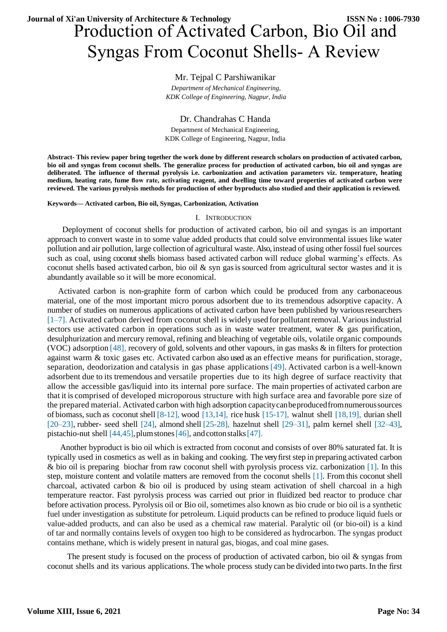# Production of Activated Carbon, Bio Oil and Syngas From Coconut Shells- A Review **Journal of Xi'an University of Architecture & Technology ISSN No : 1006-7930**

# Mr. Tejpal C Parshiwanikar

*Department of Mechanical Engineering, KDK College of Engineering, Nagpur, India*

Dr. Chandrahas C Handa Department of Mechanical Engineering, KDK College of Engineering, Nagpur, India

**Abstract- This review paper bring together the work done by different research scholars on production of activated carbon, bio oil and syngas from coconut shells. The generalize process for production of activated carbon, bio oil and syngas are deliberated. The influence of thermal pyrolysis i.e. carbonization and activation parameters viz. temperature, heating medium, heating rate, fume flow rate, activating reagent, and dwelling time toward properties of activated carbon were reviewed. The various pyrolysis methods for production of other byproducts also studied and their application is reviewed.** 

**Keywords— Activated carbon, Bio oil, Syngas, Carbonization, Activation**

#### I. INTRODUCTION

Deployment of coconut shells for production of activated carbon, bio oil and syngas is an important approach to convert waste in to some value added products that could solve environmental issues like water pollution and air pollution, large collection of agricultural waste. Also, instead of using other fossil fuel sources such as coal, using coconut shells biomass based activated carbon will reduce global warming's effects. As coconut shells based activated carbon, bio oil  $\&$  syn gas is sourced from agricultural sector wastes and it is abundantly available so it will be more economical.

Activated carbon is non-graphite form of carbon which could be produced from any carbonaceous material, one of the most important micro porous adsorbent due to its tremendous adsorptive capacity. A number of studies on numerous applications of activated carbon have been published by variousresearchers  $[1–7]$ . Activated carbon derived from coconut shell is widely used for pollutant removal. Various industrial sectors use activated carbon in operations such as in waste water treatment, water & gas purification, desulphurization and mercury removal, refining and bleaching of vegetable oils, volatile organic compounds (VOC) adsorption [\[48\],](#page-4-0) recovery of gold, solvents and other vapours, in gas masks & in filters for protection against warm & toxic gases etc. Activated carbon also used as an effective means for purification, storage, separation, deodorization and catalysis in gas phase applications [49]. Activated carbon is a well-known adsorbent due to its tremendous and versatile properties due to its high degree of surface reactivity that allow the accessible gas/liquid into its internal pore surface. The main properties of activated carbon are that it is comprised of developed microporous structure with high surface area and favorable pore size of the prepared material. Activated carbon with high adsorption capacitycanbeproducedfromnumeroussources of biomass, such as coconut shell [\[8-12\],](#page-4-1) wood [13,14], rice husk [\[15-17\],](#page-4-2) walnut shell [\[18,19\],](#page-4-3) durian shell [\[20–23\],](#page-4-3) rubber- seed shell [24], almond shell [\[25-28\],](#page-4-4) hazelnut shell [29–31], palm kernel shell [32–43], pistachio-nut shell  $[44, 45]$ , plumstones  $[46]$ , and cotton stalks  $[47]$ .

<span id="page-0-0"></span>Another byproduct is bio oil which is extracted from coconut and consists of over 80% saturated fat. It is typically used in cosmetics as well as in baking and cooking. The very first step in preparing activated carbon & bio oil is preparing biochar from raw coconut shell with pyrolysis process viz. carbonization [\[1\].](#page-4-2) In this step, moisture content and volatile matters are removed from the coconut shells [\[1\].](#page-4-2) From this coconut shell charcoal, activated carbon & bio oil is produced by using steam activation of shell charcoal in a high temperature reactor. Fast pyrolysis process was carried out prior in fluidized bed reactor to produce char before activation process. Pyrolysis oil or Bio oil, sometimes also known as bio crude or bio oil is a [synthetic](https://en.wikipedia.org/wiki/Synthetic_fuel)  [fuel](https://en.wikipedia.org/wiki/Synthetic_fuel) under investigation as substitute for [petroleum.](https://en.wikipedia.org/wiki/Petroleum) Liquid products can be refined to produce liquid fuels or value-added products, and can also be used as a chemical raw material. Paralytic oil (or bio-oil) is a kind of [tar](https://en.wikipedia.org/wiki/Tar) and normally contains levels of oxygen too high to be considered as [hydrocarbon.](https://en.wikipedia.org/wiki/Hydrocarbon) The syngas product contains methane, which is widely present in natural gas, biogas, and coal mine gases.

The present study is focused on the process of production of activated carbon, bio oil & syngas from coconut shells and its various applications. The whole process study can be divided into two parts. In the first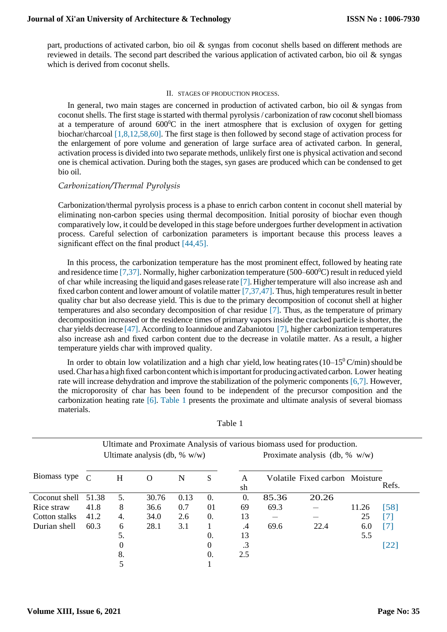part, productions of activated carbon, bio oil & syngas from coconut shells based on different methods are reviewed in details. The second part described the various application of activated carbon, bio oil & syngas which is derived from coconut shells.

#### II. STAGES OF PRODUCTION PROCESS.

In general, two main stages are concerned in production of activated carbon, bio oil & syngas from coconut shells. The first stage is started with thermal pyrolysis/ carbonization of raw coconut shell biomass at a temperature of around  $600^{\circ}$ C in the inert atmosphere that is exclusion of oxygen for getting biochar/charcoal [\[1,8,12,58,60\].](#page-4-0) The first stage is then followed by second stage of activation process for the enlargement of pore volume and generation of large surface area of activated carbon. In general, activation process is divided into two separate methods, unlikely first one is physical activation and second one is chemical activation. During both the stages, syn gases are produced which can be condensed to get bio oil.

### *Carbonization/Thermal Pyrolysis*

Carbonization/thermal pyrolysis process is a phase to enrich carbon content in coconut shell material by eliminating non-carbon species using thermal decomposition. Initial porosity of biochar even though comparatively low, it could be developed in this stage before undergoes further development in activation process. Careful selection of carbonization parameters is important because this process leaves a significant effect on the final product [44,45].

In this process, the carbonization temperature has the most prominent effect, followed by heating rate and residence tim[e \[7,37\].](#page-4-2) Normally, higher carbonization temperature (500–600<sup>o</sup>C) result in reduced yield of char while increasing the liquid and gasesrelease rate [\[7\].](#page-4-2) Highertemperature will also increase ash and fixed carbon content and lower amount of volatile matte[r \[7,37,47\].](#page-4-2) Thus, high temperatures result in better quality char but also decrease yield. This is due to the primary decomposition of coconut shell at higher temperatures and also secondary decomposition of char residue [\[7\].](#page-4-2) Thus, as the temperature of primary decomposition increased or the residence times of primary vapors inside the cracked particle is shorter, the char yields decrease [\[47\].](#page-4-6) According to Ioannidoue and Zabaniotou [\[7\],](#page-4-2) higher carbonization temperatures also increase ash and fixed carbon content due to the decrease in volatile matter. As a result, a higher temperature yields char with improved quality.

In order to obtain low volatilization and a high char yield, low heating rates ( $10-15^{\circ}$  C/min) should be used. Char has a high fixed carbon content which is important for producing activated carbon. Lower heating rate will increase dehydration and improve the stabilization of the polymeric component[s \[6,7\].](#page-4-6) However, the microporosity of char has been found to be independent of the precursor composition and the carbonization heating rate [\[6\].](#page-4-6) [Table 1 p](#page-0-0)resents the proximate and ultimate analysis of several biomass materials.

|               | Ultimate analysis (db, $% w/w$ ) |    |          |      |            | Proximate analysis (db, $\%$ w/w) |       |                                |       |                              |  |
|---------------|----------------------------------|----|----------|------|------------|-----------------------------------|-------|--------------------------------|-------|------------------------------|--|
| Biomass type  | $\mathcal{C}$                    | H  | $\Omega$ | N    | S          | A<br>sh                           |       | Volatile Fixed carbon Moisture |       | Refs.                        |  |
| Coconut shell | 51.38                            | 5. | 30.76    | 0.13 | $\Omega$ . | $\Omega$ .                        | 85.36 | 20.26                          |       |                              |  |
| Rice straw    | 41.8                             | 8  | 36.6     | 0.7  | 01         | 69                                | 69.3  |                                | 11.26 | [58]                         |  |
| Cotton stalks | 41.2                             | 4. | 34.0     | 2.6  | 0.         | 13                                |       |                                | 25    | [7]                          |  |
| Durian shell  | 60.3                             | 6  | 28.1     | 3.1  |            | $\cdot$                           | 69.6  | 22.4                           | 6.0   | [7]                          |  |
|               |                                  | 5. |          |      | 0.         | 13                                |       |                                | 5.5   |                              |  |
|               |                                  | 0  |          |      | $\Omega$   | .3                                |       |                                |       | $\left\lceil 22\right\rceil$ |  |
|               |                                  | 8. |          |      | 0.         | 2.5                               |       |                                |       |                              |  |
|               |                                  |    |          |      |            |                                   |       |                                |       |                              |  |

Table 1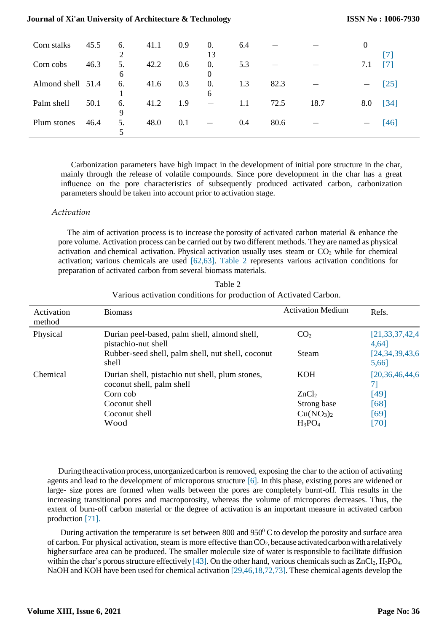| Corn stalks       | 45.5 | 6.      | 41.1 | 0.9 | $\Omega$ .<br>13 | 6.4 |      |      |     | [7]  |
|-------------------|------|---------|------|-----|------------------|-----|------|------|-----|------|
| Corn cobs         | 46.3 | 5.<br>6 | 42.2 | 0.6 | 0.<br>$\Omega$   | 5.3 |      |      | 7.1 | [7]  |
| Almond shell 51.4 |      | 6.      | 41.6 | 0.3 | $\Omega$ .<br>6  | 1.3 | 82.3 |      |     | [25] |
| Palm shell        | 50.1 | 6.<br>9 | 41.2 | 1.9 |                  | 1.1 | 72.5 | 18.7 | 8.0 | [34] |
| Plum stones       | 46.4 | 5.      | 48.0 | 0.1 |                  | 0.4 | 80.6 |      |     | [46] |

<span id="page-2-0"></span>Carbonization parameters have high impact in the development of initial pore structure in the char, mainly through the release of volatile compounds. Since pore development in the char has a great influence on the pore characteristics of subsequently produced activated carbon, carbonization parameters should be taken into account prior to activation stage.

### *Activation*

The aim of activation process is to increase the porosity of activated carbon material & enhance the pore volume. Activation process can be carried out by two different methods. They are named as physical activation and chemical activation. Physical activation usually uses steam or  $CO<sub>2</sub>$  while for chemical activation; various chemicals are used [62,63]. [Table 2 r](#page-2-0)epresents various activation conditions for preparation of activated carbon from several biomass materials.

| Activation<br>method | <b>Biomass</b>                                                               | <b>Activation Medium</b>          | Refs.                       |
|----------------------|------------------------------------------------------------------------------|-----------------------------------|-----------------------------|
| Physical             | Durian peel-based, palm shell, almond shell,<br>pistachio-nut shell          | CO <sub>2</sub>                   | [21, 33, 37, 42, 4]<br>4,64 |
|                      | Rubber-seed shell, palm shell, nut shell, coconut<br>shell                   | Steam                             | [24, 34, 39, 43, 6]<br>5,66 |
| Chemical             | Durian shell, pistachio nut shell, plum stones,<br>coconut shell, palm shell | <b>KOH</b>                        | [20,36,46,44,6]<br>71       |
|                      | Corn cob                                                                     | ZnCl <sub>2</sub>                 | [49]                        |
|                      | Coconut shell                                                                | Strong base                       | [68]                        |
|                      | Coconut shell                                                                | Cu(NO <sub>3</sub> ) <sub>2</sub> | [69]                        |
|                      | Wood                                                                         | $H_3PO_4$                         | [70]                        |

Table 2 Various activation conditions for production of Activated Carbon.

During the activation process, unorganized carbon is removed, exposing the char to the action of activating agents and lead to the development of microporous structure [\[6\].](#page-4-6) In this phase, existing pores are widened or large- size pores are formed when walls between the pores are completely burnt-off. This results in the increasing transitional pores and macroporosity, whereas the volume of micropores decreases. Thus, the extent of burn-off carbon material or the degree of activation is an important measure in activated carbon production [\[71\].](#page-6-0)

During activation the temperature is set between  $800$  and  $950^{\circ}$ C to develop the porosity and surface area of carbon. For physical activation, steam is more effective than  $CO<sub>2</sub>$ , because activated carbon with a relatively higher surface area can be produced. The smaller molecule size of water is responsible to facilitate diffusion within the char's porous structure effectivel[y \[43\].](#page-4-0) On the other hand, various chemicals such as  $ZnCl_2$ ,  $H_3PO_4$ , NaOH and KOH have been used for chemical activation [29,46,18,72,73]. These chemical agents develop the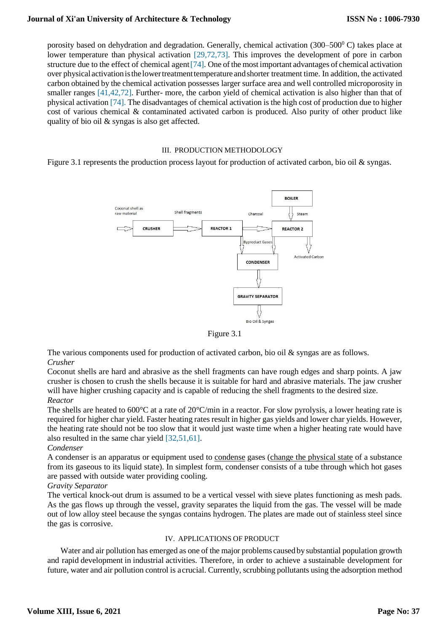porosity based on dehydration and degradation. Generally, chemical activation (300–500 $^{\circ}$ C) takes place at lower temperature than physical activation [29,72,73]. This improves the development of pore in carbon structure due to the effect of chemical agent [74]. One of the most important advantages of chemical activation over physical activationisthe lowertreatmenttemperature andshorter treatment time. In addition, the activated carbon obtained by the chemical activation possesses larger surface area and well controlled microporosity in smaller ranges [41,42,72]. Further- more, the carbon yield of chemical activation is also higher than that of physical activation [\[74\].](#page-4-7) The disadvantages of chemical activation is the high cost of production due to higher cost of various chemical & contaminated activated carbon is produced. Also purity of other product like quality of bio oil & syngas is also get affected.

### III. PRODUCTION METHODOLOGY

Figure 3.1 represents the production process layout for production of activated carbon, bio oil & syngas.



Figure 3.1

The various components used for production of activated carbon, bio oil & syngas are as follows. *Crusher* 

Coconut shells are hard and abrasive as the shell fragments can have rough edges and sharp points. A jaw crusher is chosen to crush the shells because it is suitable for hard and abrasive materials. The jaw crusher will have higher crushing capacity and is capable of reducing the shell fragments to the desired size. *Reactor*

The shells are heated to 600°C at a rate of 20°C/min in a reactor. For slow pyrolysis, a lower heating rate is required for higher char yield. Faster heating rates result in higher gas yields and lower char yields. However, the heating rate should not be too slow that it would just waste time when a higher heating rate would have also resulted in the same char yield [32,51,61].

## *Condenser*

A condenser is an apparatus or equipment used to [condense](https://en.wikipedia.org/wiki/Condensation) gases [\(change the physical state](https://en.wikipedia.org/wiki/Change_of_state) of a substance from its gaseous to its liquid state). In simplest form, condenser consists of a tube through which hot gases are passed with outside water providing cooling.

*Gravity Separator* 

The vertical knock-out drum is assumed to be a vertical vessel with sieve plates functioning as mesh pads. As the gas flows up through the vessel, gravity separates the liquid from the gas. The vessel will be made out of low alloy steel because the syngas contains hydrogen. The plates are made out of stainless steel since the gas is corrosive.

## IV. APPLICATIONS OF PRODUCT

Water and air pollution has emerged as one of the major problems caused bysubstantial population growth and rapid development in industrial activities. Therefore, in order to achieve a sustainable development for future, water and air pollution control is a crucial. Currently, scrubbing pollutants using the adsorption method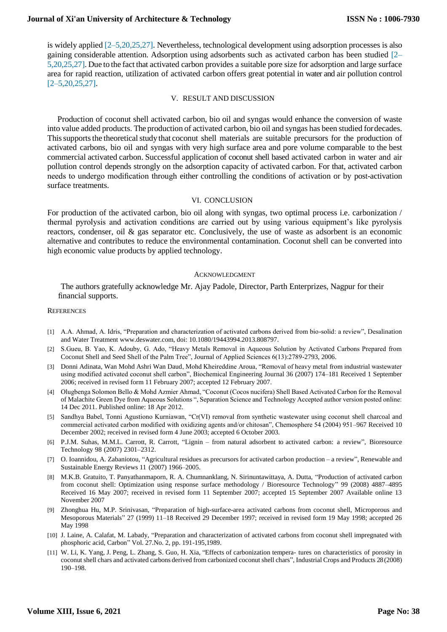is widely applie[d \[2–5,20,25,27\].](#page-4-3) Nevertheless, technological development using adsorption processes is also gaining considerable attention. Adsorption using adsorbents such as activated carbon has been studied [\[2–](#page-4-3) [5,20,25,27\].](#page-4-3) Due to the fact that activated carbon provides a suitable pore size for adsorption and large surface area for rapid reaction, utilization of activated carbon offers great potential in water and air pollution control  $[2 - 5, 20, 25, 27]$ .

#### <span id="page-4-4"></span>V. RESULT AND DISCUSSION

<span id="page-4-0"></span>Production of coconut shell activated carbon, bio oil and syngas would enhance the conversion of waste into value added products. The production of activated carbon, bio oil and syngas has been studied fordecades. This supports the theoretical study that coconut shell materials are suitable precursors for the production of activated carbons, bio oil and syngas with very high surface area and pore volume comparable to the best commercial activated carbon. Successful application of coconut shell based activated carbon in water and air pollution control depends strongly on the adsorption capacity of activated carbon. For that, activated carbon needs to undergo modification through either controlling the conditions of activation or by post-activation surface treatments.

### <span id="page-4-6"></span><span id="page-4-5"></span><span id="page-4-2"></span>VI. CONCLUSION

For production of the activated carbon, bio oil along with syngas, two optimal process i.e. carbonization / thermal pyrolysis and activation conditions are carried out by using various equipment's like pyrolysis reactors, condenser, oil  $\&$  gas separator etc. Conclusively, the use of waste as adsorbent is an economic alternative and contributes to reduce the environmental contamination. Coconut shell can be converted into high economic value products by applied technology.

#### <span id="page-4-7"></span><span id="page-4-3"></span>ACKNOWLEDGMENT

The authors gratefully acknowledge Mr. Ajay Padole, Director, Parth Enterprizes, Nagpur for their financial supports.

#### **REFERENCES**

- [1] A.A. Ahmad, A. Idris, "Preparation and characterization of activated carbons derived from bio-solid: a review", Desalination and Water Treatmen[t www.deswater.com,](http://www.deswater.com/) doi: 10.1080/19443994.2013.808797.
- [2] S.Gueu, B. Yao, K. Adouby, G. Ado, "Heavy Metals Removal in Aqueous Solution by Activated Carbons Prepared from Coconut Shell and Seed Shell of the Palm Tree", Journal of Applied Sciences 6(13):2789-2793, 2006.
- [3] Donni Adinata, Wan Mohd Ashri Wan Daud, Mohd Kheireddine Aroua, "Removal of heavy metal from industrial wastewater using modified activated coconut shell carbon", Biochemical Engineering Journal 36 (2007) 174–181 Received 1 September 2006; received in revised form 11 February 2007; accepted 12 February 2007.
- [4] Olugbenga Solomon Bello & Mohd Azmier Ahmad, "Coconut (Cocos nucifera) Shell Based Activated Carbon for the Removal of Malachite Green Dye from Aqueous Solutions ", Separation Science and Technology Accepted author version posted online: 14 Dec 2011. Published online: 18 Apr 2012.
- [5] Sandhya Babel, Tonni Agustiono Kurniawan, "Cr(VI) removal from synthetic wastewater using coconut shell charcoal and commercial activated carbon modified with oxidizing agents and/or chitosan", Chemosphere 54 (2004) 951–967 Received 10 December 2002; received in revised form 4 June 2003; accepted 6 October 2003.
- <span id="page-4-1"></span>[6] [P.J.M. Suhas, M.M.L. Carrott, R. Carrott, "Lignin –](http://refhub.elsevier.com/S2213-3437(13)00182-6/sbref0010) from natural adsorbent to activated carbon: a review", [Bioresource](http://refhub.elsevier.com/S2213-3437(13)00182-6/sbref0010) [Technology](http://refhub.elsevier.com/S2213-3437(13)00182-6/sbref0010) 98 (2007) 2301–2312.
- [7] [O. Ioannidou, A. Zabaniotou, "Agricultural residues as precursors for activated](http://refhub.elsevier.com/S2213-3437(13)00182-6/sbref0015) carbon production [a review", Renewable and](http://refhub.elsevier.com/S2213-3437(13)00182-6/sbref0015)  [Sustainable Energy Reviews 11](http://refhub.elsevier.com/S2213-3437(13)00182-6/sbref0015) (2007) [1966–2005.](http://refhub.elsevier.com/S2213-3437(13)00182-6/sbref0015)
- [8] M.K.B. Gratuito, T. Panyathanmaporn, R. A. Chumnanklang, N. Sirinuntawittaya, A. Dutta, "Production of activated carbon from coconut shell: Optimization using response surface methodology / Bioresource Technology" 99 (2008) 4887–4895 Received 16 May 2007; received in revised form 11 September 2007; accepted 15 September 2007 Available online 13 November 2007
- [9] Zhonghua Hu, M.P. Srinivasan, "Preparation of high-surface-area activated carbons from coconut shell, Microporous and Mesoporous Materials" 27 (1999) 11–18 Received 29 December 1997; received in revised form 19 May 1998; accepted 26 May 1998
- [10] J. Laine, A. Calafat, M. Labady, "Preparation and characterization of activated carbons from coconut shell impregnated with phosphoric acid, Carbon" Vol. 27.No. 2, pp. 191-195,1989.
- [11] W. Li, K. Yang, J. Peng, L. Zhang, S. Guo, H. Xia, "Effects of [carbonization](http://refhub.elsevier.com/S2213-3437(13)00182-6/sbref0050) tempera- [tures on characteristics of porosity in](http://refhub.elsevier.com/S2213-3437(13)00182-6/sbref0050)  [coconut shell chars and activated carbons](http://refhub.elsevier.com/S2213-3437(13)00182-6/sbref0050) [derived from carbonized coconut shell chars", Industrial Crops and Products 28](http://refhub.elsevier.com/S2213-3437(13)00182-6/sbref0050) [\(2008\)](http://refhub.elsevier.com/S2213-3437(13)00182-6/sbref0050) [190–198.](http://refhub.elsevier.com/S2213-3437(13)00182-6/sbref0050)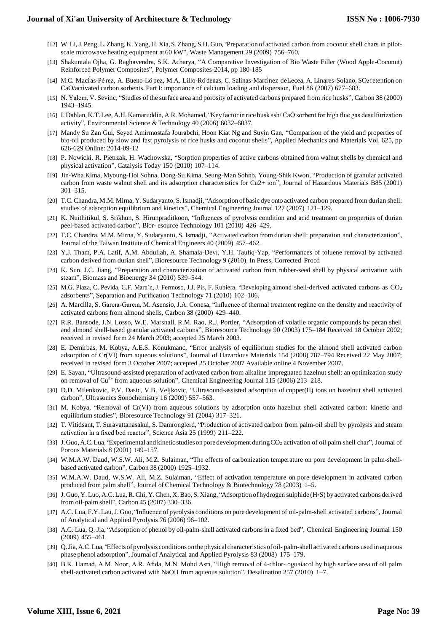- [12] [W.Li,J.Peng,L.Zhang,K.Yang,H.Xia,S.Zhang,S.H.](http://refhub.elsevier.com/S2213-3437(13)00182-6/sbref0055) Guo, "Preparation of activated [carbon from coconut shell chars in pilot](http://refhub.elsevier.com/S2213-3437(13)00182-6/sbref0055)[scale microwave heating equipment at](http://refhub.elsevier.com/S2213-3437(13)00182-6/sbref0055) [60 kW", Waste Management 29 \(2009\)](http://refhub.elsevier.com/S2213-3437(13)00182-6/sbref0055) 756–760.
- [13] Shakuntala Ojha, G. Raghavendra, S.K. Acharya, "A Comparative Investigation of Bio Waste Filler (Wood Apple-Coconut) Reinforced Polymer Composites", Polymer Composites-2014, pp 180-185
- [14] M.C. Macías-Pérez, A. Bueno-López, M.A. Lillo-Ródenas, C. Salinas-Martínez deLecea, A. [Linares-Solano,](http://refhub.elsevier.com/S2213-3437(13)00182-6/sbref0185) SO2 [retention](http://refhub.elsevier.com/S2213-3437(13)00182-6/sbref0185) on [CaO/activated](http://refhub.elsevier.com/S2213-3437(13)00182-6/sbref0185) carbon sorbents. Part I: [importance](http://refhub.elsevier.com/S2213-3437(13)00182-6/sbref0185) of calcium loading and dispersion, Fuel 86 (2007) 677–683.
- [15] N. Yalcın, V. Sevinc, "Studies of the surface area and porosity of [activated](http://refhub.elsevier.com/S2213-3437(13)00182-6/sbref0165) carbons [prepared from rice husks", Carbon 38 \(2000\)](http://refhub.elsevier.com/S2213-3437(13)00182-6/sbref0165) [1943–1945.](http://refhub.elsevier.com/S2213-3437(13)00182-6/sbref0165)
- [16] I. Dahlan, K.T.Lee, A.H. [Kamaruddin,A.R.](http://refhub.elsevier.com/S2213-3437(13)00182-6/sbref0160) Mohamed, "Key factorin rice husk ash/ [CaO sorbent for high flue gas desulfurization](http://refhub.elsevier.com/S2213-3437(13)00182-6/sbref0160)  [activity", Environmental Science &Technology 40 \(2006\)](http://refhub.elsevier.com/S2213-3437(13)00182-6/sbref0160) 6032–6037.
- [17] Mandy Su Zan Gui, Seyed Amirmostafa Jourabchi, Hoon Kiat Ng and Suyin Gan, "Comparison of the yield and properties of bio-oil produced by slow and fast pyrolysis of rice husks and coconut shells", Applied Mechanics and Materials Vol. 625, pp 626-629 Online: 2014-09-12
- [18] [P. Nowicki, R. Pietrzak, H. Wachowska, "Sorption properties of active carbons](http://refhub.elsevier.com/S2213-3437(13)00182-6/sbref0180) obtained from walnut shells by [chemical](http://refhub.elsevier.com/S2213-3437(13)00182-6/sbref0180) and physical [activation",](http://refhub.elsevier.com/S2213-3437(13)00182-6/sbref0180) Catalysis Today [150 \(2010\)](http://refhub.elsevier.com/S2213-3437(13)00182-6/sbref0180) 107–114.
- [19] Jin-Wha Kima, Myoung-Hoi Sohna, Dong-Su Kima, Seung-Man Sohnb, Young-Shik Kwon, "Production of granular activated carbon from waste walnut shell and its adsorption characteristics for Cu2+ ion", Journal of Hazardous Materials B85 (2001) 301–315.
- [20] [T.C.Chandra,M.M.](http://refhub.elsevier.com/S2213-3437(13)00182-6/sbref0030) Mirna, Y. Sudaryanto, S.Ismadji, "Adsorption of basic dye onto [activated carbon prepared from durian shell:](http://refhub.elsevier.com/S2213-3437(13)00182-6/sbref0030)  [studies of adsorption equilibrium](http://refhub.elsevier.com/S2213-3437(13)00182-6/sbref0030) [and kinetics", Chemical Engineering Journal 127 \(2007\)](http://refhub.elsevier.com/S2213-3437(13)00182-6/sbref0030) 121–129.
- [21] [K. Nuithitikul, S. Srikhun, S. Hirunpraditkoon, "Influences of pyrolysis condition](http://refhub.elsevier.com/S2213-3437(13)00182-6/sbref0040) [and acid treatment on properties of durian](http://refhub.elsevier.com/S2213-3437(13)00182-6/sbref0040)  [peel-based activated carbon", Bior-](http://refhub.elsevier.com/S2213-3437(13)00182-6/sbref0040) [esource Technology 101 \(2010\)](http://refhub.elsevier.com/S2213-3437(13)00182-6/sbref0040) 426–429.
- [22] T.C. Chandra, M.M. Mirna, Y. [Sudaryanto,](http://refhub.elsevier.com/S2213-3437(13)00182-6/sbref0035) S. Ismadji, "Activated carbon from durian shell: preparation and [characterization",](http://refhub.elsevier.com/S2213-3437(13)00182-6/sbref0035) Journal of the Taiwan [Institute](http://refhub.elsevier.com/S2213-3437(13)00182-6/sbref0035) of Che[mical Engineers 40 \(2009\)](http://refhub.elsevier.com/S2213-3437(13)00182-6/sbref0035) 457–462.
- [23] [Y.J. Tham, P.A. Latif, A.M. Abdullah, A. Shamala-Devi, Y.H. Taufiq-Yap, "Perform](http://refhub.elsevier.com/S2213-3437(13)00182-6/sbref0045)ances [of toluene removal by activated](http://refhub.elsevier.com/S2213-3437(13)00182-6/sbref0045)  [carbon derived from durian shell",](http://refhub.elsevier.com/S2213-3437(13)00182-6/sbref0045) [Bioresource Technology 9 \(2010\), In Press, Corrected](http://refhub.elsevier.com/S2213-3437(13)00182-6/sbref0045) Proof.
- [24] [K. Sun, J.C. Jiang, "Preparation and characterization of activated carbon from](http://refhub.elsevier.com/S2213-3437(13)00182-6/sbref0060) [rubber-seed shell by physical activation with](http://refhub.elsevier.com/S2213-3437(13)00182-6/sbref0060)  [steam", Biomass and Bioenergy](http://refhub.elsevier.com/S2213-3437(13)00182-6/sbref0060) [34 \(2010\)](http://refhub.elsevier.com/S2213-3437(13)00182-6/sbref0060) 539–544.
- [25] M.G. Plaza, C. Pevida, C.F. Martı´n, J. Fermoso, J.J. Pis, F. Rubiera, ["Developing](http://refhub.elsevier.com/S2213-3437(13)00182-6/sbref0140) almond [shell-derived activated carbons as CO](http://refhub.elsevier.com/S2213-3437(13)00182-6/sbref0140)<sup>2</sup> [adsorbents", Separation and Purification](http://refhub.elsevier.com/S2213-3437(13)00182-6/sbref0140) [Technology 71 \(2010\)](http://refhub.elsevier.com/S2213-3437(13)00182-6/sbref0140) 102–106.
- [26] A. Marcilla, S. [Garcıa-Garcıa,](http://refhub.elsevier.com/S2213-3437(13)00182-6/sbref0145) M. Asensio, J.A. Conesa, "Influence of thermal trea[tment regime on the density and reactivity of](http://refhub.elsevier.com/S2213-3437(13)00182-6/sbref0145)  [activated carbons from almond](http://refhub.elsevier.com/S2213-3437(13)00182-6/sbref0145) [shells, Carbon](http://refhub.elsevier.com/S2213-3437(13)00182-6/sbref0145) 38 (2000) 429–440.
- [27] R.R. Bansode, J.N. Losso, W.E. Marshall, R.M. Rao, R.J. Portier, "Adsorption of volatile organic compounds by pecan shell and almond shell-based granular activated carbons", Bioresource Technology 90 (2003) 175–184 Received 18 October 2002; received in revised form 24 March 2003; accepted 25 March 2003.
- [28] E. Demirbas, M. Kobya, A.E.S. Konukmanc, "Error analysis of equilibrium studies for the almond shell activated carbon adsorption of Cr(VI) from aqueous solutions", Journal of Hazardous Materials 154 (2008) 787–794 Received 22 May 2007; received in revised form 3 October 2007; accepted 25 October 2007 Available online 4 November 2007.
- [29] [E. Sayan, "Ultrasound-assisted preparation of activated carbon from alkaline](http://refhub.elsevier.com/S2213-3437(13)00182-6/sbref0065) impregnated hazelnut shell: an optimization study on removal of Cu[2+](http://refhub.elsevier.com/S2213-3437(13)00182-6/sbref0065) [from](http://refhub.elsevier.com/S2213-3437(13)00182-6/sbref0065) aqueous solution", Chemical Engineering Journal 115 (2006) 213–218.
- [30] [D.D. Milenkovic, P.V. Dasic, V.B. Veljkovic, "Ultrasound-assisted adsorption of](http://refhub.elsevier.com/S2213-3437(13)00182-6/sbref0070) [copper\(II\) ions on hazelnut shell activated](http://refhub.elsevier.com/S2213-3437(13)00182-6/sbref0070)  [carbon", Ultrasonics Sonochemistry](http://refhub.elsevier.com/S2213-3437(13)00182-6/sbref0070) [16 \(2009\)](http://refhub.elsevier.com/S2213-3437(13)00182-6/sbref0070) 557–563.
- [31] M. Kobya, "Removal of Cr(VI) from aqueous solutions by [adsorption](http://refhub.elsevier.com/S2213-3437(13)00182-6/sbref0075) onto hazelnut [shell activated carbon: kinetic and](http://refhub.elsevier.com/S2213-3437(13)00182-6/sbref0075)  [equilibrium studies", Bioresource Technology](http://refhub.elsevier.com/S2213-3437(13)00182-6/sbref0075) [91 \(2004\)](http://refhub.elsevier.com/S2213-3437(13)00182-6/sbref0075) 317–321.
- [32] T. Vitidsant, T. [Suravattanasakul,](http://refhub.elsevier.com/S2213-3437(13)00182-6/sbref0080) S. Damronglerd, "Production of activated carbon [from palm-oil shell by pyrolysis and steam](http://refhub.elsevier.com/S2213-3437(13)00182-6/sbref0080)  [activation in a fixed bed reactor",](http://refhub.elsevier.com/S2213-3437(13)00182-6/sbref0080) [Science Asia 25 \(1999\)](http://refhub.elsevier.com/S2213-3437(13)00182-6/sbref0080) 211–222.
- [33] J. Guo, A.C. Lua, "Experimental and kinetic studies on pore development during CO2 activation of oil palm shell char", Journal of [Porous Materials 8 \(2001\)](http://refhub.elsevier.com/S2213-3437(13)00182-6/sbref0095) 149–157.
- [34] W.M.A.W. Daud, W.S.W. Ali, M.Z. Sulaiman, "The effects of [carbonization](http://refhub.elsevier.com/S2213-3437(13)00182-6/sbref0085) tempe[rature on pore development in palm-shell](http://refhub.elsevier.com/S2213-3437(13)00182-6/sbref0085)[based activated carbon", Carbon 38](http://refhub.elsevier.com/S2213-3437(13)00182-6/sbref0085) (2000) [1925–1932.](http://refhub.elsevier.com/S2213-3437(13)00182-6/sbref0085)
- [35] [W.M.A.W. Daud, W.S.W. Ali, M.Z. Sulaiman, "Effect of activation temperature on](http://refhub.elsevier.com/S2213-3437(13)00182-6/sbref0090) [pore development in activated carbon](http://refhub.elsevier.com/S2213-3437(13)00182-6/sbref0090)  [produced from palm shell", Journal of](http://refhub.elsevier.com/S2213-3437(13)00182-6/sbref0090) [Chemical Technology & Biotechnology 78 \(2003\)](http://refhub.elsevier.com/S2213-3437(13)00182-6/sbref0090) 1–5.
- [36] J. Guo, Y.Luo, [A.C.Lua,R.Chi,](http://refhub.elsevier.com/S2213-3437(13)00182-6/sbref0100) Y.Chen,X.Bao, S.Xiang, "Adsorption of hydrogen [sulphide](http://refhub.elsevier.com/S2213-3437(13)00182-6/sbref0100) (H2S) by [activated](http://refhub.elsevier.com/S2213-3437(13)00182-6/sbref0100) carbons derived from [oil-palm](http://refhub.elsevier.com/S2213-3437(13)00182-6/sbref0100) shell", Carbon 45 (2007) [330–336.](http://refhub.elsevier.com/S2213-3437(13)00182-6/sbref0100)
- [37] A.C. Lua, F.Y. Lau,J. Guo, "Influence of pyrolysis conditions on pore [development](http://refhub.elsevier.com/S2213-3437(13)00182-6/sbref0105) of [oil-palm-shell activated carbons", Journal](http://refhub.elsevier.com/S2213-3437(13)00182-6/sbref0105)  [of Analytical and Applied Pyrolysis 76](http://refhub.elsevier.com/S2213-3437(13)00182-6/sbref0105) (2006) [96–102.](http://refhub.elsevier.com/S2213-3437(13)00182-6/sbref0105)
- [38] A.C. Lua, Q. Jia, "Adsorption of phenol by [oil-palm-shell](http://refhub.elsevier.com/S2213-3437(13)00182-6/sbref0110) activated carbons in a fixed [bed", Chemical Engineering Journal 150](http://refhub.elsevier.com/S2213-3437(13)00182-6/sbref0110)  (2009) [455–461.](http://refhub.elsevier.com/S2213-3437(13)00182-6/sbref0110)
- [39] Q.Jia,A.C.Lua, "Effectsofpyrolysis [conditionsonthephysical](http://refhub.elsevier.com/S2213-3437(13)00182-6/sbref0115) characteristicsofoil- palm-shell activated [carbonsused](http://refhub.elsevier.com/S2213-3437(13)00182-6/sbref0115) in aqueous phase phenol adsorption", Journal of [Analytical and Applied Pyrolysis 83 \(2008\)](http://refhub.elsevier.com/S2213-3437(13)00182-6/sbref0115) 175-179.
- [40] [B.K. Hamad, A.M. Noor, A.R. Afida, M.N. Mohd Asri, "High removal of 4-chlor-](http://refhub.elsevier.com/S2213-3437(13)00182-6/sbref0120) [oguaiacol by high surface area of oil palm](http://refhub.elsevier.com/S2213-3437(13)00182-6/sbref0120)  [shell-activated carbon activated with](http://refhub.elsevier.com/S2213-3437(13)00182-6/sbref0120) [NaOH from aqueous solution", Desalination 257 \(2010\)](http://refhub.elsevier.com/S2213-3437(13)00182-6/sbref0120) 1-7.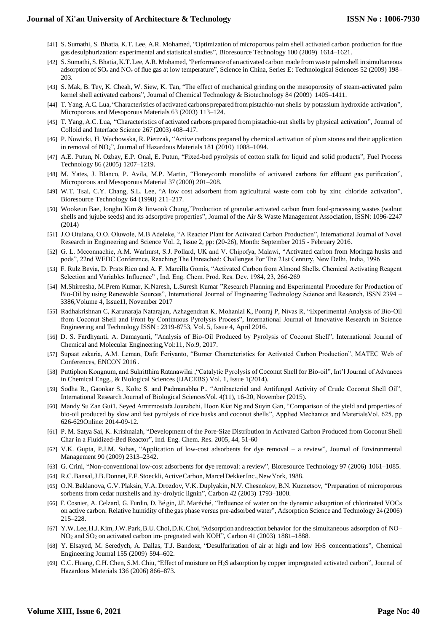- [41] S. Sumathi, S. Bhatia, K.T. Lee, A.R. Mohamed, ["Optimization](http://refhub.elsevier.com/S2213-3437(13)00182-6/sbref0130) of microporous palm shell activated carbon [production](http://refhub.elsevier.com/S2213-3437(13)00182-6/sbref0130) for flue gas [desulphurization:](http://refhub.elsevier.com/S2213-3437(13)00182-6/sbref0130) experimental and [statistical studies", Bioresource Technology 100 \(2009\)](http://refhub.elsevier.com/S2213-3437(13)00182-6/sbref0130) 1614–1621.
- [42] S.Sumathi, [S.Bhatia,K.T.Lee,](http://refhub.elsevier.com/S2213-3437(13)00182-6/sbref0135) A.R.Mohamed, "Performance of an activated carbon made from waste palm shell in [simultaneous](http://refhub.elsevier.com/S2213-3437(13)00182-6/sbref0135) [adsorption](http://refhub.elsevier.com/S2213-3437(13)00182-6/sbref0135) of SO<sub>x</sub> [and](http://refhub.elsevier.com/S2213-3437(13)00182-6/sbref0135) NO<sub>x</sub> of [flue](http://refhub.elsevier.com/S2213-3437(13)00182-6/sbref0135) gas at low temperature", Science in China, Series E: [Technological](http://refhub.elsevier.com/S2213-3437(13)00182-6/sbref0135) Sciences 52 (2009) [198–](http://refhub.elsevier.com/S2213-3437(13)00182-6/sbref0135) [203.](http://refhub.elsevier.com/S2213-3437(13)00182-6/sbref0135)
- [43] S. Mak, B. Tey, K. Cheah, W. Siew, K. Tan, "The effect of [mechanical](http://refhub.elsevier.com/S2213-3437(13)00182-6/sbref0125) grinding on the [mesoporosity of steam-activated palm](http://refhub.elsevier.com/S2213-3437(13)00182-6/sbref0125)  kernel shell activated carbons", Journal of Chemical Technology & Biotechnology 84 (2009) 1405–1411.
- [44] T. Yang, A.C. Lua, "Characteristics of activated carbons prepared [frompistachio-nut](http://refhub.elsevier.com/S2213-3437(13)00182-6/sbref0170) [shells by potassium hydroxide activation",](http://refhub.elsevier.com/S2213-3437(13)00182-6/sbref0170)  Microporous [and Mesoporous Materials 63 \(2003\)](http://refhub.elsevier.com/S2213-3437(13)00182-6/sbref0170) 113–124.
- [45] T. Yang, A.C. Lua, ["Characteristics](http://refhub.elsevier.com/S2213-3437(13)00182-6/sbref0175) of activated carbons prepared from pistachio-nut [shells by physical activation", Journal of](http://refhub.elsevier.com/S2213-3437(13)00182-6/sbref0175)  [Colloid and Interface Science 267](http://refhub.elsevier.com/S2213-3437(13)00182-6/sbref0175) (2003) [408–417.](http://refhub.elsevier.com/S2213-3437(13)00182-6/sbref0175)
- [46] [P. Nowicki, H. Wachowska, R. Pietrzak, "Active carbons prepared by chemical](http://refhub.elsevier.com/S2213-3437(13)00182-6/sbref0150) [activation of plum stones and their application](http://refhub.elsevier.com/S2213-3437(13)00182-6/sbref0150)  [in removal of NO](http://refhub.elsevier.com/S2213-3437(13)00182-6/sbref0150)2[", Journal of](http://refhub.elsevier.com/S2213-3437(13)00182-6/sbref0150) [Hazardous Materials 181 \(2010\)](http://refhub.elsevier.com/S2213-3437(13)00182-6/sbref0150) 1088–1094.
- [47] A.E. Putun, N. Ozbay, E.P. Onal, E. Putun, ["Fixed-bed](http://refhub.elsevier.com/S2213-3437(13)00182-6/sbref0155) pyrolysis of cotton stalk for [liquid and solid products", Fuel Process](http://refhub.elsevier.com/S2213-3437(13)00182-6/sbref0155)  [Technology 86 \(2005\)](http://refhub.elsevier.com/S2213-3437(13)00182-6/sbref0155) 1207–1219.
- [48] [M. Yates, J. Blanco, P. Avila, M.P. Martin, "Honeycomb monoliths of activated](http://refhub.elsevier.com/S2213-3437(13)00182-6/sbref0190) [carbons for effluent gas purification",](http://refhub.elsevier.com/S2213-3437(13)00182-6/sbref0190)  [Microporous and Mesoporous Material 37](http://refhub.elsevier.com/S2213-3437(13)00182-6/sbref0190) (2000) [201–208.](http://refhub.elsevier.com/S2213-3437(13)00182-6/sbref0190)
- [49] W.T. Tsai, C.Y. Chang, S.L. Lee, "A low cost adsorbent from [agricultural](http://refhub.elsevier.com/S2213-3437(13)00182-6/sbref0195) waste corn cob by zinc chloride [activation",](http://refhub.elsevier.com/S2213-3437(13)00182-6/sbref0195) [Bioresource](http://refhub.elsevier.com/S2213-3437(13)00182-6/sbref0195) Technology 64 (1998) 211–217.
- [50] Wookeun Bae, Jongho Kim & Jinwook Chung,"Production of granular activated carbon from food-processing wastes (walnut shells and jujube seeds) and its adsorptive properties", Journal of the Air & Waste Management Association, ISSN: 1096-2247 (2014)
- [51] J.O Otulana, O.O. Oluwole, M.B Adeleke, "A Reactor Plant for Activated Carbon Production", International Journal of Novel Research in Engineering and Science Vol. 2, Issue 2, pp: (20-26), Month: September 2015 - February 2016.
- [52] G. L. Mcconnachie, A.M. Warhurst, S.J. Pollard, UK and V. Chipofya, Malawi, "Activated carbon from Moringa husks and pods", 22nd WEDC Conference, Reaching The Unreached: Challenges For The 21st Century, New Delhi, India, 1996
- [53] F. Rulz Bevia, D. Prats Rico and A. F. Marcilla Gomis, "Activated Carbon from Almond Shells. Chemical Activating Reagent Selection and Variables Influence" , Ind. Eng. Chem. Prod. Res. Dev. 1984, 23, 266-269
- [54] M.Shireesha, M.Prem Kumar, K.Naresh, L.Suresh Kumar "Research Planning and Experimental Procedure for Production of Bio-Oil by using Renewable Sources", International Journal of Engineering Technology Science and Research, ISSN 2394 – 3386,Volume 4, Issue1I, November 2017
- [55] Radhakrishnan C, Karunaraja Natarajan, Azhagendran K, Mohanlal K, Ponraj P, Nivas R, "Experimental Analysis of Bio-Oil from Coconut Shell and Front by Continuous Pyrolysis Process", International Journal of Innovative Research in Science Engineering and Technology ISSN : 2319-8753, Vol. 5, Issue 4, April 2016.
- [56] D. S. Fardhyanti, A. Damayanti, "Analysis of Bio-Oil Produced by Pyrolysis of Coconut Shell", International Journal of Chemical and Molecular Engineering,Vol:11, No:9, 2017.
- [57] Supaat zakaria, A.M. Leman, Dafit Feriyanto, "Burner Characteristics for Activated Carbon Production", MATEC Web of Conferences, ENCON 2016 .
- [58] Puttiphon Kongnum, and Sukritthira Ratanawilai ,"Catalytic Pyrolysis of Coconut Shell for Bio-oil", Int'l Journal of Advances in Chemical Engg., & Biological Sciences (IJACEBS) Vol. 1, Issue 1(2014).
- [59] Sodha R., Gaonkar S., Kolte S. and Padmanabha P., "Antibacterial and Antifungal Activity of Crude Coconut Shell Oil", International Research Journal of Biological SciencesVol. 4(11), 16-20, November (2015).
- [60] Mandy Su Zan Gui1, Seyed Amirmostafa Jourabchi, Hoon Kiat Ng and Suyin Gan, "Comparison of the yield and properties of bio-oil produced by slow and fast pyrolysis of rice husks and coconut shells", Applied Mechanics and MaterialsVol. 625, pp 626-629Online: 2014-09-12.
- [61] P. M. Satya Sai, K. Krishnaiah, "Development of the Pore-Size Distribution in Activated Carbon Produced from Coconut Shell Char in a Fluidized-Bed Reactor", Ind. Eng. Chem. Res. 2005, 44, 51-60
- [62] V.K. Gupta, P.J.M. Suhas, ["Application](http://refhub.elsevier.com/S2213-3437(13)00182-6/sbref0210) of low-cost adsorbents for dye removal a [review", Journal of Environmental](http://refhub.elsevier.com/S2213-3437(13)00182-6/sbref0210)  [Management 90 \(2009\)](http://refhub.elsevier.com/S2213-3437(13)00182-6/sbref0210) 2313–2342.
- [63] [G. Crini, "Non-conventional low-cost adsorbents for dye removal: a review",](http://refhub.elsevier.com/S2213-3437(13)00182-6/sbref0215) [Bioresource Technology 97 \(2006\)](http://refhub.elsevier.com/S2213-3437(13)00182-6/sbref0215) 1061–1085.
- [64] R.C. Bansal, J.B. Donnet, F.F. Stoeckli, Active Carbon, Marcel Dekker Inc., New York, [1988.](http://refhub.elsevier.com/S2213-3437(13)00182-6/sbref0200)
- [65] O.N. Baklanova, G.V. Plaksin, V.A. Drozdov, V.K. Duplyakin, N.V. [Chesnokov,](http://refhub.elsevier.com/S2213-3437(13)00182-6/sbref0220) B.N. [Kuznetsov, "Preparation of microporous](http://refhub.elsevier.com/S2213-3437(13)00182-6/sbref0220)  [sorbents from cedar nutshells and hy-](http://refhub.elsevier.com/S2213-3437(13)00182-6/sbref0220) [drolytic lignin", Carbon](http://refhub.elsevier.com/S2213-3437(13)00182-6/sbref0220) 42 (2003) 1793–1800.
- [66] F. Cosnier, A. Celzard, G. Furdin, D. Bégin, J.F. Marêché, ["Influence](http://refhub.elsevier.com/S2213-3437(13)00182-6/sbref0225) of water on the dynamic adsoprtion of chlorinated VOCs [on active carbon: Relative humidity oft](http://refhub.elsevier.com/S2213-3437(13)00182-6/sbref0225)he gas phase versus [pre-adsorbed](http://refhub.elsevier.com/S2213-3437(13)00182-6/sbref0225) water", Adsorption Science and Technology 24 [\(2006\)](http://refhub.elsevier.com/S2213-3437(13)00182-6/sbref0225) [215–228.](http://refhub.elsevier.com/S2213-3437(13)00182-6/sbref0225)
- [67] [Y.W.Lee,H.J.Kim,J.W.Park,B.U.Choi,D.K.Choi,](http://refhub.elsevier.com/S2213-3437(13)00182-6/sbref0230) "Adsorptionand reactionbehavior [for the simultaneous adsorption of NO–](http://refhub.elsevier.com/S2213-3437(13)00182-6/sbref0230) [NO](http://refhub.elsevier.com/S2213-3437(13)00182-6/sbref0230)<sup>2</sup> [and SO](http://refhub.elsevier.com/S2213-3437(13)00182-6/sbref0230)<sup>2</sup> [on activated carbon im-](http://refhub.elsevier.com/S2213-3437(13)00182-6/sbref0230) [pregnated with KOH", Carbon 41 \(2003\)](http://refhub.elsevier.com/S2213-3437(13)00182-6/sbref0230) 1881–1888.
- <span id="page-6-0"></span>[68] Y. Elsayed, M. Seredych, A. Dallas, T.J. Bandosz, ["Desulfurization](http://refhub.elsevier.com/S2213-3437(13)00182-6/sbref0235) of air at high and [low H](http://refhub.elsevier.com/S2213-3437(13)00182-6/sbref0235)2[S concentrations", Chemical](http://refhub.elsevier.com/S2213-3437(13)00182-6/sbref0235)  [Engineering Journal 155 \(2009\)](http://refhub.elsevier.com/S2213-3437(13)00182-6/sbref0235) 594–602.
- [69] C.C. Huang, C.H. Chen, S.M. Chiu, "Effect of [moisture](http://refhub.elsevier.com/S2213-3437(13)00182-6/sbref0240) on H2S [adsorption](http://refhub.elsevier.com/S2213-3437(13)00182-6/sbref0240) by copper [impregnated activated carbon", Journal of](http://refhub.elsevier.com/S2213-3437(13)00182-6/sbref0240)  [Hazardous Materials 136 \(2006\)](http://refhub.elsevier.com/S2213-3437(13)00182-6/sbref0240) [866–873.](http://refhub.elsevier.com/S2213-3437(13)00182-6/sbref0240)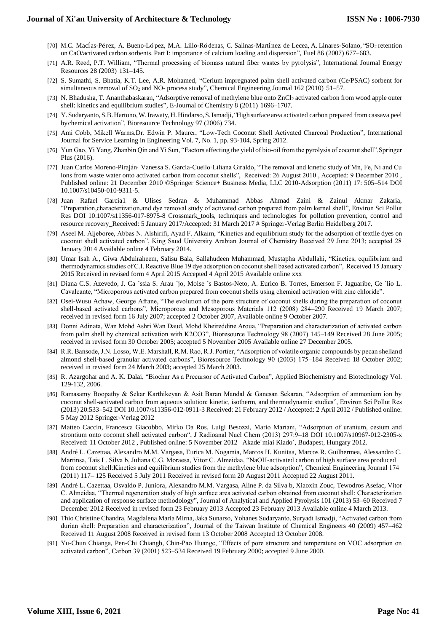- [70] M.C. Macías-Pérez, A. Bueno-López, M.A. Lillo-Ródenas, C. Salinas-Martínez de Lecea, A. [Linares-Solano,](http://refhub.elsevier.com/S2213-3437(13)00182-6/sbref0185) "SO2 [retention](http://refhub.elsevier.com/S2213-3437(13)00182-6/sbref0185) on [CaO/activated](http://refhub.elsevier.com/S2213-3437(13)00182-6/sbref0185) carbon sorbents. Part I: importance of calcium loading and [dispersion",](http://refhub.elsevier.com/S2213-3437(13)00182-6/sbref0185) Fuel 86 (2007) 677–683.
- [71] [A.R. Reed, P.T. William, "Thermal processing of biomass natural fiber wastes by](http://refhub.elsevier.com/S2213-3437(13)00182-6/sbref0275) [pyrolysis", International Journal Energy](http://refhub.elsevier.com/S2213-3437(13)00182-6/sbref0275)  [Resources 28 \(2003\)](http://refhub.elsevier.com/S2213-3437(13)00182-6/sbref0275) 131–145.
- [72] [S. Sumathi, S. Bhatia, K.T. Lee, A.R. Mohamed, "Cerium impregnated palm shell](http://refhub.elsevier.com/S2213-3437(13)00182-6/sbref0280) [activated carbon \(Ce/PSAC\) sorbent for](http://refhub.elsevier.com/S2213-3437(13)00182-6/sbref0280)  [simultaneous removal of SO](http://refhub.elsevier.com/S2213-3437(13)00182-6/sbref0280)<sup>2</sup> [and NO-](http://refhub.elsevier.com/S2213-3437(13)00182-6/sbref0280) [process study", Chemical Engineering Journal 162 \(2010\)](http://refhub.elsevier.com/S2213-3437(13)00182-6/sbref0280) 51–57.
- [73] [N. Bhadusha, T. Ananthabaskaran, "Adsorptive removal of methylene blue onto](http://refhub.elsevier.com/S2213-3437(13)00182-6/sbref0285) [ZnCl](http://refhub.elsevier.com/S2213-3437(13)00182-6/sbref0285)2 activated carbon from wood apple outer [shell: kinetics and equilibrium](http://refhub.elsevier.com/S2213-3437(13)00182-6/sbref0285) [studies", E-Journal of Chemistry 8 \(2011\)](http://refhub.elsevier.com/S2213-3437(13)00182-6/sbref0285) 1696–1707.
- [74] [Y.Sudaryanto,S.B.Hartono,W.Irawaty,H.Hindarso,S.Ismadji,](http://refhub.elsevier.com/S2213-3437(13)00182-6/sbref0205) "High surface area [activated carbon prepared from cassava peel](http://refhub.elsevier.com/S2213-3437(13)00182-6/sbref0205)  [bychemical activation", Bioresource](http://refhub.elsevier.com/S2213-3437(13)00182-6/sbref0205) [Technology 97 \(2006\)](http://refhub.elsevier.com/S2213-3437(13)00182-6/sbref0205) 734.
- [75] Ami Cobb, Mikell Warms,Dr. Edwin P. Maurer, "Low-Tech Coconut Shell Activated Charcoal Production", International Journal for Service Learning in Engineering Vol. 7, No. 1, pp. 93-104, Spring 2012.
- [76] Yun Gao, Yi Yang, Zhanbin Qin and Yi Sun, "Factors affecting the yield of bio-oil from the pyrolysis of coconut shell",Springer Plus (2016).
- [77] Juan Carlos Moreno-Piraján· Vanessa S. Garcia-Cuello·Liliana Giraldo, "The removal and kinetic study of Mn, Fe, Ni and Cu ions from waste water onto activated carbon from coconut shells", Received: 26 August 2010, Accepted: 9 December 2010, Published online: 21 December 2010 ©Springer Science+ Business Media, LLC 2010-Adsorption (2011) 17: 505–514 DOI 10.1007/s10450-010-9311-5.
- [78] Juan Rafael García1 & Ulises Sedran & Muhammad Abbas Ahmad Zaini & Zainul Akmar Zakaria, "Preparation,characterization,and dye removal study of activated carbon prepared from palm kernel shell", Environ Sci Pollut Res DOI 10.1007/s11356-017-8975-8 Crossmark\_tools, techniques and technologies for pollution prevention, control and resource recovery\_Received: 5 January 2017/Accepted: 31 March 2017 # Springer-Verlag Berlin Heidelberg 2017.
- [79] Aseel M. Aljeboree, Abbas N. Alshirifi, Ayad F. Alkaim, "Kinetics and equilibrium study for the adsorption of textile dyes on coconut shell activated carbon", King Saud University Arabian Journal of Chemistry Received 29 June 2013; accepted 28 January 2014 Available online 4 February 2014.
- [80] Umar Isah A., Giwa Abdulraheem, Salisu Bala, Sallahudeen Muhammad, Mustapha Abdullahi, "Kinetics, equilibrium and thermodynamics studies of C.I. Reactive Blue 19 dye adsorption on coconut shell based activated carbon", Received 15 January 2015 Received in revised form 4 April 2015 Accepted 4 April 2015 Available online xxx
- [81] Diana C.S. Azevedo, J. Ca ´ssia S. Arau ´jo, Moise ´s Bastos-Neto, A. Eurico B. Torres, Emerson F. Jaguaribe, Ce ´lio L. Cavalcante, "Microporous activated carbon prepared from coconut shells using chemical activation with zinc chloride".
- [82] Osei-Wusu Achaw, George Afrane, "The evolution of the pore structure of coconut shells during the preparation of coconut shell-based activated carbons", Microporous and Mesoporous Materials 112 (2008) 284–290 Received 19 March 2007; received in revised form 16 July 2007; accepted 2 October 2007, Available online 9 October 2007.
- [83] Donni Adinata, Wan Mohd Ashri Wan Daud, Mohd Kheireddine Aroua, "Preparation and characterization of activated carbon from palm shell by chemical activation with K2CO3", Bioresource Technology 98 (2007) 145–149 Received 28 June 2005; received in revised form 30 October 2005; accepted 5 November 2005 Available online 27 December 2005.
- [84] R.R. Bansode, J.N. Losso, W.E. Marshall, R.M. Rao, R.J. Portier, "Adsorption of volatile organic compounds by pecan shelland almond shell-based granular activated carbons", Bioresource Technology 90 (2003) 175–184 Received 18 October 2002; received in revised form 24 March 2003; accepted 25 March 2003.
- [85] R. Azargohar and A. K. Dalai, "Biochar As a Precursor of Activated Carbon", Applied Biochemistry and Biotechnology Vol. 129-132, 2006.
- [86] Ramasamy Boopathy & Sekar Karthikeyan & Asit Baran Mandal & Ganesan Sekaran, "Adsorption of ammonium ion by coconut shell-activated carbon from aqueous solution: kinetic, isotherm, and thermodynamic studies", Environ Sci Pollut Res (2013) 20:533–542 DOI 10.1007/s11356-012-0911-3 Received: 21 February 2012 / Accepted: 2 April 2012 / Published online: 5 May 2012 Springer-Verlag 2012
- [87] Matteo Caccin, Francesca Giacobbo, Mirko Da Ros, Luigi Besozzi, Mario Mariani, "Adsorption of uranium, cesium and strontium onto coconut shell activated carbon", J Radioanal Nucl Chem (2013) 297:9–18 DOI 10.1007/s10967-012-2305-x Received: 11 October 2012 , Published online: 5 November 2012 Akade´miai Kiado´, Budapest, Hungary 2012.
- [88] André L. Cazettaa, Alexandro M.M. Vargasa, Eurica M. Nogamia, Marcos H. Kunitaa, Marcos R. Guilhermea, Alessandro C. Martinsa, Tais L. Silva b, Juliana C.G. Moraesa, Vitor C. Almeidaa, "NaOH-activated carbon of high surface area produced from coconut shell:Kinetics and equilibrium studies from the methylene blue adsorption", Chemical Engineering Journal 174 (2011) 117– 125 Received 5 July 2011 Received in revised form 20 August 2011 Accepted 22 August 2011.
- [89] André L. Cazettaa, Osvaldo P. Juniora, Alexandro M.M. Vargasa, Aline P. da Silva b, Xiaoxin Zouc, Tewodros Asefac, Vitor C. Almeidaa, "Thermal regeneration study of high surface area activated carbon obtained from coconut shell: Characterization and application of response surface methodology", Journal of Analytical and Applied Pyrolysis 101 (2013) 53–60 Received 7 December 2012 Received in revised form 23 February 2013 Accepted 23 February 2013 Available online 4 March 2013.
- [90] Thio Christine Chandra, Magdalena Maria Mirna, Jaka Sunarso, Yohanes Sudaryanto, Suryadi Ismadji, "Activated carbon from durian shell: Preparation and characterization", Journal of the Taiwan Institute of Chemical Engineers 40 (2009) 457–462 Received 11 August 2008 Received in revised form 13 October 2008 Accepted 13 October 2008.
- [91] Yu-Chun Chianga, Pen-Chi Chiangb, Chin-Pao Huangc, "Effects of pore structure and temperature on VOC adsorption on activated carbon", Carbon 39 (2001) 523–534 Received 19 February 2000; accepted 9 June 2000.